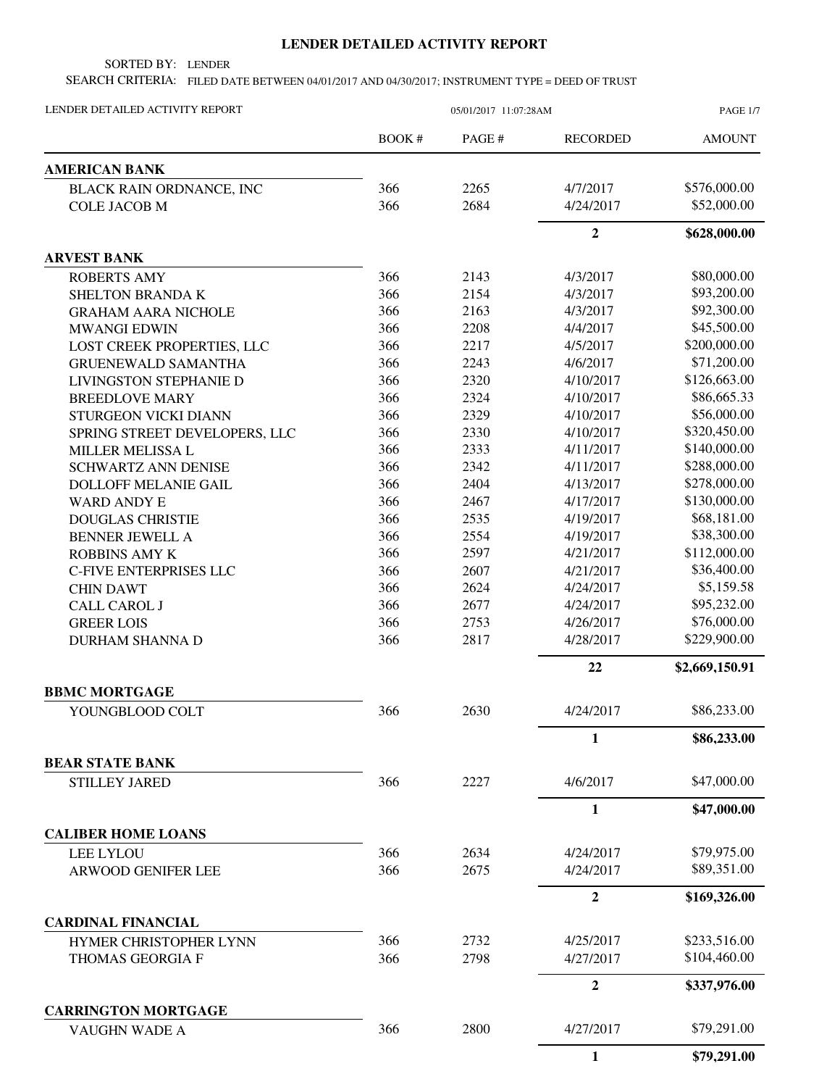## **LENDER DETAILED ACTIVITY REPORT**

SORTED BY: LENDER

SEARCH CRITERIA: FILED DATE BETWEEN 04/01/2017 AND 04/30/2017; INSTRUMENT TYPE = DEED OF TRUST

| LENDER DETAILED ACTIVITY REPORT             | 05/01/2017 11:07:28AM |        |                  | <b>PAGE 1/7</b> |
|---------------------------------------------|-----------------------|--------|------------------|-----------------|
|                                             | BOOK#                 | PAGE # | <b>RECORDED</b>  | <b>AMOUNT</b>   |
| <b>AMERICAN BANK</b>                        |                       |        |                  |                 |
| BLACK RAIN ORDNANCE, INC                    | 366                   | 2265   | 4/7/2017         | \$576,000.00    |
| <b>COLE JACOB M</b>                         | 366                   | 2684   | 4/24/2017        | \$52,000.00     |
|                                             |                       |        | $\overline{2}$   | \$628,000.00    |
| <b>ARVEST BANK</b>                          |                       |        |                  |                 |
| <b>ROBERTS AMY</b>                          | 366                   | 2143   | 4/3/2017         | \$80,000.00     |
| SHELTON BRANDA K                            | 366                   | 2154   | 4/3/2017         | \$93,200.00     |
| <b>GRAHAM AARA NICHOLE</b>                  | 366                   | 2163   | 4/3/2017         | \$92,300.00     |
| <b>MWANGI EDWIN</b>                         | 366                   | 2208   | 4/4/2017         | \$45,500.00     |
| LOST CREEK PROPERTIES, LLC                  | 366                   | 2217   | 4/5/2017         | \$200,000.00    |
| <b>GRUENEWALD SAMANTHA</b>                  | 366                   | 2243   | 4/6/2017         | \$71,200.00     |
| LIVINGSTON STEPHANIE D                      | 366                   | 2320   | 4/10/2017        | \$126,663.00    |
| <b>BREEDLOVE MARY</b>                       | 366                   | 2324   | 4/10/2017        | \$86,665.33     |
| STURGEON VICKI DIANN                        | 366                   | 2329   | 4/10/2017        | \$56,000.00     |
| SPRING STREET DEVELOPERS, LLC               | 366                   | 2330   | 4/10/2017        | \$320,450.00    |
| MILLER MELISSA L                            | 366                   | 2333   | 4/11/2017        | \$140,000.00    |
| <b>SCHWARTZ ANN DENISE</b>                  | 366                   | 2342   | 4/11/2017        | \$288,000.00    |
| <b>DOLLOFF MELANIE GAIL</b>                 | 366                   | 2404   | 4/13/2017        | \$278,000.00    |
| <b>WARD ANDY E</b>                          | 366                   | 2467   | 4/17/2017        | \$130,000.00    |
| <b>DOUGLAS CHRISTIE</b>                     | 366                   | 2535   | 4/19/2017        | \$68,181.00     |
| <b>BENNER JEWELL A</b>                      | 366                   | 2554   | 4/19/2017        | \$38,300.00     |
| <b>ROBBINS AMY K</b>                        | 366                   | 2597   | 4/21/2017        | \$112,000.00    |
| <b>C-FIVE ENTERPRISES LLC</b>               | 366                   | 2607   | 4/21/2017        | \$36,400.00     |
| <b>CHIN DAWT</b>                            | 366                   | 2624   | 4/24/2017        | \$5,159.58      |
| <b>CALL CAROL J</b>                         | 366                   | 2677   | 4/24/2017        | \$95,232.00     |
| <b>GREER LOIS</b>                           | 366                   | 2753   | 4/26/2017        | \$76,000.00     |
| <b>DURHAM SHANNA D</b>                      | 366                   | 2817   | 4/28/2017        | \$229,900.00    |
|                                             |                       |        | 22               | \$2,669,150.91  |
| <b>BBMC MORTGAGE</b>                        |                       |        |                  |                 |
| YOUNGBLOOD COLT                             | 366                   | 2630   | 4/24/2017        | \$86,233.00     |
|                                             |                       |        | $\mathbf{1}$     | \$86,233.00     |
| <b>BEAR STATE BANK</b>                      |                       |        |                  | \$47,000.00     |
| <b>STILLEY JARED</b>                        | 366                   | 2227   | 4/6/2017         |                 |
|                                             |                       |        | 1                | \$47,000.00     |
| <b>CALIBER HOME LOANS</b>                   |                       |        |                  |                 |
| <b>LEE LYLOU</b>                            | 366                   | 2634   | 4/24/2017        | \$79,975.00     |
| <b>ARWOOD GENIFER LEE</b>                   | 366                   | 2675   | 4/24/2017        | \$89,351.00     |
|                                             |                       |        | $\overline{2}$   | \$169,326.00    |
| <b>CARDINAL FINANCIAL</b>                   |                       |        |                  |                 |
| HYMER CHRISTOPHER LYNN                      | 366                   | 2732   | 4/25/2017        | \$233,516.00    |
| THOMAS GEORGIA F                            | 366                   | 2798   | 4/27/2017        | \$104,460.00    |
|                                             |                       |        | $\boldsymbol{2}$ | \$337,976.00    |
| <b>CARRINGTON MORTGAGE</b><br>VAUGHN WADE A | 366                   | 2800   | 4/27/2017        | \$79,291.00     |
|                                             |                       |        |                  |                 |
|                                             |                       |        | 1                | \$79,291.00     |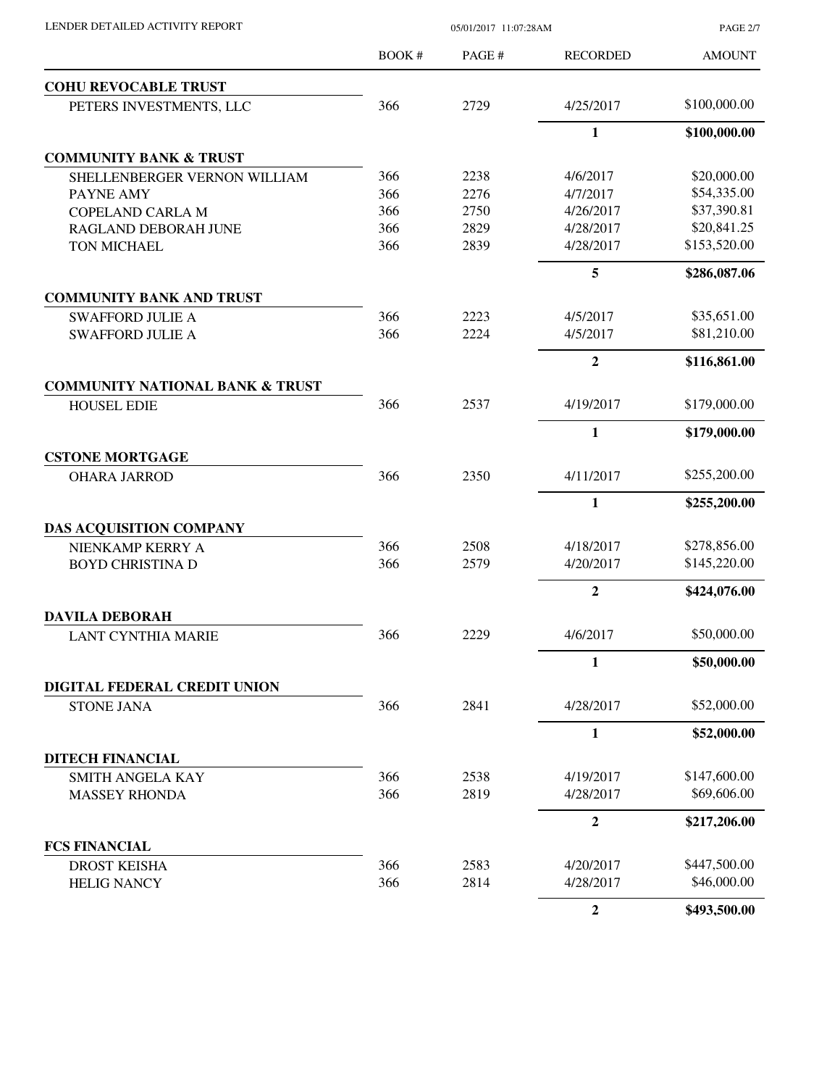| LENDER DETAILED ACTIVITY REPORT            |       | 05/01/2017 11:07:28AM |                 | <b>PAGE 2/7</b> |
|--------------------------------------------|-------|-----------------------|-----------------|-----------------|
|                                            | BOOK# | PAGE #                | <b>RECORDED</b> | <b>AMOUNT</b>   |
| <b>COHU REVOCABLE TRUST</b>                |       |                       |                 |                 |
| PETERS INVESTMENTS, LLC                    | 366   | 2729                  | 4/25/2017       | \$100,000.00    |
|                                            |       |                       | 1               | \$100,000.00    |
| <b>COMMUNITY BANK &amp; TRUST</b>          |       |                       |                 |                 |
| SHELLENBERGER VERNON WILLIAM               | 366   | 2238                  | 4/6/2017        | \$20,000.00     |
| PAYNE AMY                                  | 366   | 2276                  | 4/7/2017        | \$54,335.00     |
| <b>COPELAND CARLA M</b>                    | 366   | 2750                  | 4/26/2017       | \$37,390.81     |
| RAGLAND DEBORAH JUNE                       | 366   | 2829                  | 4/28/2017       | \$20,841.25     |
| TON MICHAEL                                | 366   | 2839                  | 4/28/2017       | \$153,520.00    |
|                                            |       |                       | 5               | \$286,087.06    |
| <b>COMMUNITY BANK AND TRUST</b>            |       |                       |                 |                 |
| <b>SWAFFORD JULIE A</b>                    | 366   | 2223                  | 4/5/2017        | \$35,651.00     |
| <b>SWAFFORD JULIE A</b>                    | 366   | 2224                  | 4/5/2017        | \$81,210.00     |
|                                            |       |                       | $\overline{2}$  | \$116,861.00    |
| <b>COMMUNITY NATIONAL BANK &amp; TRUST</b> |       |                       |                 |                 |
| <b>HOUSEL EDIE</b>                         | 366   | 2537                  | 4/19/2017       | \$179,000.00    |
|                                            |       |                       | $\mathbf{1}$    | \$179,000.00    |
| <b>CSTONE MORTGAGE</b>                     |       |                       |                 |                 |
| <b>OHARA JARROD</b>                        | 366   | 2350                  | 4/11/2017       | \$255,200.00    |
|                                            |       |                       | $\mathbf{1}$    | \$255,200.00    |
| <b>DAS ACQUISITION COMPANY</b>             |       |                       |                 |                 |
| NIENKAMP KERRY A                           | 366   | 2508                  | 4/18/2017       | \$278,856.00    |
| <b>BOYD CHRISTINA D</b>                    | 366   | 2579                  | 4/20/2017       | \$145,220.00    |
|                                            |       |                       | $\overline{2}$  | \$424,076.00    |
| <b>DAVILA DEBORAH</b>                      |       |                       |                 |                 |
| <b>LANT CYNTHIA MARIE</b>                  | 366   | 2229                  | 4/6/2017        | \$50,000.00     |
|                                            |       |                       | $\mathbf{1}$    | \$50,000.00     |
| DIGITAL FEDERAL CREDIT UNION               |       |                       |                 |                 |
| <b>STONE JANA</b>                          | 366   | 2841                  | 4/28/2017       | \$52,000.00     |
|                                            |       |                       | 1               | \$52,000.00     |
| DITECH FINANCIAL                           |       |                       |                 |                 |
| <b>SMITH ANGELA KAY</b>                    | 366   | 2538                  | 4/19/2017       | \$147,600.00    |
| <b>MASSEY RHONDA</b>                       | 366   | 2819                  | 4/28/2017       | \$69,606.00     |
|                                            |       |                       | $\mathbf{2}$    | \$217,206.00    |
| <b>FCS FINANCIAL</b>                       |       |                       |                 |                 |
| <b>DROST KEISHA</b>                        | 366   | 2583                  | 4/20/2017       | \$447,500.00    |
| <b>HELIG NANCY</b>                         | 366   | 2814                  | 4/28/2017       | \$46,000.00     |
|                                            |       |                       | $\mathbf{2}$    | \$493,500.00    |
|                                            |       |                       |                 |                 |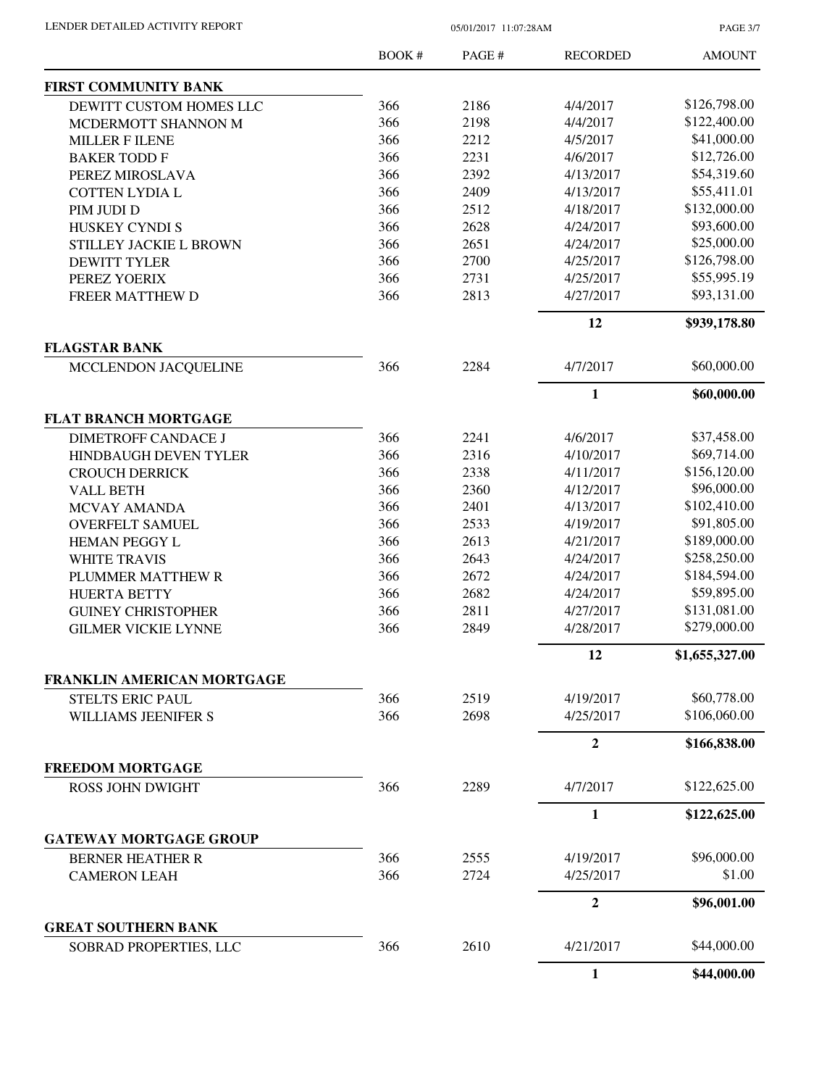PAGE 3/7

|                                                      | BOOK# | PAGE# | <b>RECORDED</b>  | <b>AMOUNT</b>               |
|------------------------------------------------------|-------|-------|------------------|-----------------------------|
| FIRST COMMUNITY BANK                                 |       |       |                  |                             |
| DEWITT CUSTOM HOMES LLC                              | 366   | 2186  | 4/4/2017         | \$126,798.00                |
| MCDERMOTT SHANNON M                                  | 366   | 2198  | 4/4/2017         | \$122,400.00                |
| <b>MILLER F ILENE</b>                                | 366   | 2212  | 4/5/2017         | \$41,000.00                 |
| <b>BAKER TODD F</b>                                  | 366   | 2231  | 4/6/2017         | \$12,726.00                 |
| PEREZ MIROSLAVA                                      | 366   | 2392  | 4/13/2017        | \$54,319.60                 |
| <b>COTTEN LYDIA L</b>                                | 366   | 2409  | 4/13/2017        | \$55,411.01                 |
| PIM JUDI D                                           | 366   | 2512  | 4/18/2017        | \$132,000.00                |
| HUSKEY CYNDI S                                       | 366   | 2628  | 4/24/2017        | \$93,600.00                 |
| STILLEY JACKIE L BROWN                               | 366   | 2651  | 4/24/2017        | \$25,000.00                 |
| <b>DEWITT TYLER</b>                                  | 366   | 2700  | 4/25/2017        | \$126,798.00                |
| PEREZ YOERIX                                         | 366   | 2731  | 4/25/2017        | \$55,995.19                 |
| FREER MATTHEW D                                      | 366   | 2813  | 4/27/2017        | \$93,131.00                 |
|                                                      |       |       | 12               | \$939,178.80                |
| <b>FLAGSTAR BANK</b>                                 |       |       |                  |                             |
| MCCLENDON JACQUELINE                                 | 366   | 2284  | 4/7/2017         | \$60,000.00                 |
|                                                      |       |       | $\mathbf{1}$     | \$60,000.00                 |
| <b>FLAT BRANCH MORTGAGE</b>                          |       |       |                  |                             |
| <b>DIMETROFF CANDACE J</b>                           | 366   | 2241  | 4/6/2017         | \$37,458.00                 |
| HINDBAUGH DEVEN TYLER                                | 366   | 2316  | 4/10/2017        | \$69,714.00                 |
| <b>CROUCH DERRICK</b>                                | 366   | 2338  | 4/11/2017        | \$156,120.00                |
| <b>VALL BETH</b>                                     | 366   | 2360  | 4/12/2017        | \$96,000.00                 |
| MCVAY AMANDA                                         | 366   | 2401  | 4/13/2017        | \$102,410.00                |
| <b>OVERFELT SAMUEL</b>                               | 366   | 2533  | 4/19/2017        | \$91,805.00                 |
| <b>HEMAN PEGGY L</b>                                 | 366   | 2613  | 4/21/2017        | \$189,000.00                |
| <b>WHITE TRAVIS</b>                                  | 366   | 2643  | 4/24/2017        | \$258,250.00                |
| PLUMMER MATTHEW R                                    | 366   | 2672  | 4/24/2017        | \$184,594.00<br>\$59,895.00 |
| <b>HUERTA BETTY</b>                                  | 366   | 2682  | 4/24/2017        | \$131,081.00                |
| <b>GUINEY CHRISTOPHER</b>                            | 366   | 2811  | 4/27/2017        |                             |
| <b>GILMER VICKIE LYNNE</b>                           | 366   | 2849  | 4/28/2017        | \$279,000.00                |
|                                                      |       |       | 12               | \$1,655,327.00              |
| FRANKLIN AMERICAN MORTGAGE                           |       |       |                  |                             |
| <b>STELTS ERIC PAUL</b>                              | 366   | 2519  | 4/19/2017        | \$60,778.00                 |
| WILLIAMS JEENIFER S                                  | 366   | 2698  | 4/25/2017        | \$106,060.00                |
|                                                      |       |       | $\boldsymbol{2}$ | \$166,838.00                |
| <b>FREEDOM MORTGAGE</b>                              |       |       |                  |                             |
| <b>ROSS JOHN DWIGHT</b>                              | 366   | 2289  | 4/7/2017         | \$122,625.00                |
|                                                      |       |       | $\mathbf{1}$     | \$122,625.00                |
| <b>GATEWAY MORTGAGE GROUP</b>                        |       |       |                  |                             |
| <b>BERNER HEATHER R</b>                              | 366   | 2555  | 4/19/2017        | \$96,000.00                 |
| <b>CAMERON LEAH</b>                                  | 366   | 2724  | 4/25/2017        | \$1.00                      |
|                                                      |       |       | $\overline{2}$   | \$96,001.00                 |
| <b>GREAT SOUTHERN BANK</b><br>SOBRAD PROPERTIES, LLC | 366   | 2610  | 4/21/2017        | \$44,000.00                 |
|                                                      |       |       | $\mathbf{1}$     | \$44,000.00                 |
|                                                      |       |       |                  |                             |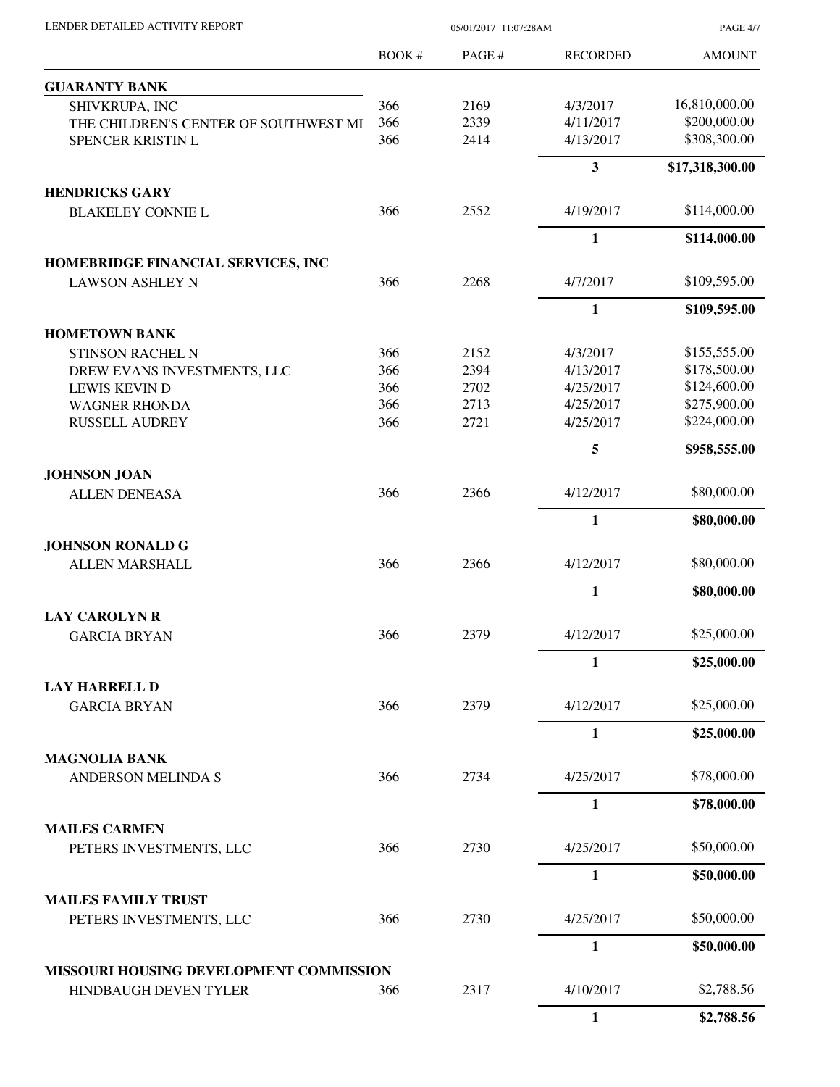PAGE 4/7

|                                                   | BOOK#      | PAGE#        | <b>RECORDED</b>         | <b>AMOUNT</b>                |
|---------------------------------------------------|------------|--------------|-------------------------|------------------------------|
| <b>GUARANTY BANK</b>                              |            |              |                         |                              |
| SHIVKRUPA, INC                                    | 366        | 2169         | 4/3/2017                | 16,810,000.00                |
| THE CHILDREN'S CENTER OF SOUTHWEST MI             | 366        | 2339         | 4/11/2017               | \$200,000.00                 |
| SPENCER KRISTIN L                                 | 366        | 2414         | 4/13/2017               | \$308,300.00                 |
|                                                   |            |              | $\overline{\mathbf{3}}$ | \$17,318,300.00              |
| <b>HENDRICKS GARY</b>                             |            |              |                         |                              |
| <b>BLAKELEY CONNIE L</b>                          | 366        | 2552         | 4/19/2017               | \$114,000.00                 |
|                                                   |            |              | 1                       | \$114,000.00                 |
| HOMEBRIDGE FINANCIAL SERVICES, INC                | 366        |              |                         |                              |
| <b>LAWSON ASHLEY N</b>                            |            | 2268         | 4/7/2017                | \$109,595.00                 |
|                                                   |            |              | 1                       | \$109,595.00                 |
| <b>HOMETOWN BANK</b>                              |            |              |                         |                              |
| <b>STINSON RACHEL N</b>                           | 366        | 2152         | 4/3/2017                | \$155,555.00                 |
| DREW EVANS INVESTMENTS, LLC                       | 366        | 2394         | 4/13/2017               | \$178,500.00                 |
| <b>LEWIS KEVIN D</b>                              | 366        | 2702         | 4/25/2017               | \$124,600.00                 |
| <b>WAGNER RHONDA</b><br><b>RUSSELL AUDREY</b>     | 366<br>366 | 2713<br>2721 | 4/25/2017<br>4/25/2017  | \$275,900.00<br>\$224,000.00 |
|                                                   |            |              | 5                       | \$958,555.00                 |
| <b>JOHNSON JOAN</b>                               |            |              |                         |                              |
| <b>ALLEN DENEASA</b>                              | 366        | 2366         | 4/12/2017               | \$80,000.00                  |
|                                                   |            |              | 1                       | \$80,000.00                  |
| <b>JOHNSON RONALD G</b>                           |            |              |                         |                              |
| <b>ALLEN MARSHALL</b>                             | 366        | 2366         | 4/12/2017               | \$80,000.00                  |
|                                                   |            |              | $\mathbf{1}$            | \$80,000.00                  |
| <b>LAY CAROLYN R</b>                              |            |              |                         |                              |
| <b>GARCIA BRYAN</b>                               | 366        | 2379         | 4/12/2017               | \$25,000.00                  |
|                                                   |            |              | $\mathbf{1}$            | \$25,000.00                  |
| <b>LAY HARRELL D</b>                              |            |              |                         |                              |
| <b>GARCIA BRYAN</b>                               | 366        | 2379         | 4/12/2017               | \$25,000.00                  |
|                                                   |            |              | $\mathbf{1}$            | \$25,000.00                  |
| <b>MAGNOLIA BANK</b><br><b>ANDERSON MELINDA S</b> | 366        | 2734         | 4/25/2017               | \$78,000.00                  |
|                                                   |            |              | 1                       | \$78,000.00                  |
| <b>MAILES CARMEN</b>                              |            |              |                         |                              |
| PETERS INVESTMENTS, LLC                           | 366        | 2730         | 4/25/2017               | \$50,000.00                  |
|                                                   |            |              | $\mathbf{1}$            | \$50,000.00                  |
| <b>MAILES FAMILY TRUST</b>                        |            |              |                         |                              |
| PETERS INVESTMENTS, LLC                           | 366        | 2730         | 4/25/2017               | \$50,000.00                  |
|                                                   |            |              | 1                       | \$50,000.00                  |
| MISSOURI HOUSING DEVELOPMENT COMMISSION           |            |              |                         |                              |
| <b>HINDBAUGH DEVEN TYLER</b>                      | 366        | 2317         | 4/10/2017               | \$2,788.56                   |
|                                                   |            |              | $\mathbf{1}$            | \$2,788.56                   |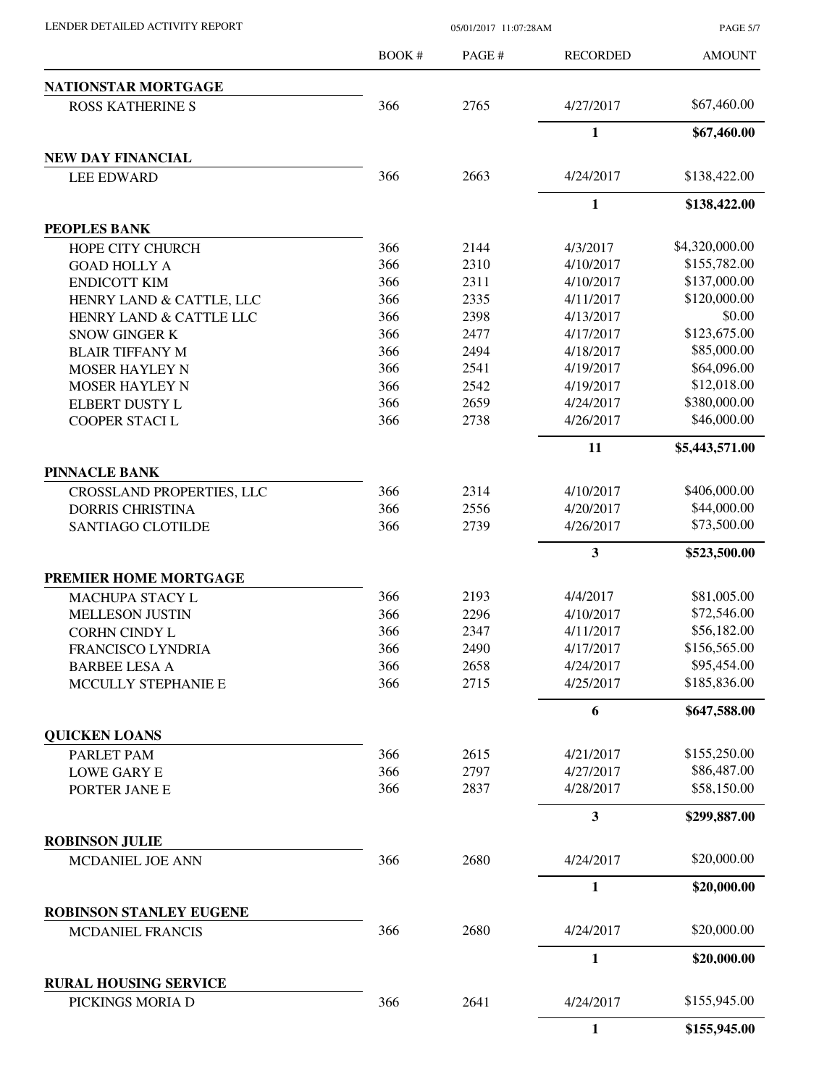PAGE 5/7

|                                | <b>BOOK#</b> | PAGE# | <b>RECORDED</b> | <b>AMOUNT</b>  |
|--------------------------------|--------------|-------|-----------------|----------------|
| NATIONSTAR MORTGAGE            |              |       |                 |                |
| <b>ROSS KATHERINE S</b>        | 366          | 2765  | 4/27/2017       | \$67,460.00    |
|                                |              |       | $\mathbf{1}$    | \$67,460.00    |
| NEW DAY FINANCIAL              |              |       |                 |                |
| <b>LEE EDWARD</b>              | 366          | 2663  | 4/24/2017       | \$138,422.00   |
|                                |              |       | $\mathbf{1}$    | \$138,422.00   |
| <b>PEOPLES BANK</b>            |              |       |                 |                |
| <b>HOPE CITY CHURCH</b>        | 366          | 2144  | 4/3/2017        | \$4,320,000.00 |
| <b>GOAD HOLLY A</b>            | 366          | 2310  | 4/10/2017       | \$155,782.00   |
| <b>ENDICOTT KIM</b>            | 366          | 2311  | 4/10/2017       | \$137,000.00   |
| HENRY LAND & CATTLE, LLC       | 366          | 2335  | 4/11/2017       | \$120,000.00   |
| HENRY LAND & CATTLE LLC        | 366          | 2398  | 4/13/2017       | \$0.00         |
| <b>SNOW GINGER K</b>           | 366          | 2477  | 4/17/2017       | \$123,675.00   |
| <b>BLAIR TIFFANY M</b>         | 366          | 2494  | 4/18/2017       | \$85,000.00    |
| <b>MOSER HAYLEY N</b>          | 366          | 2541  | 4/19/2017       | \$64,096.00    |
| <b>MOSER HAYLEY N</b>          | 366          | 2542  | 4/19/2017       | \$12,018.00    |
| <b>ELBERT DUSTY L</b>          | 366          | 2659  | 4/24/2017       | \$380,000.00   |
| COOPER STACI L                 | 366          | 2738  | 4/26/2017       | \$46,000.00    |
|                                |              |       | 11              | \$5,443,571.00 |
| <b>PINNACLE BANK</b>           |              |       |                 |                |
| CROSSLAND PROPERTIES, LLC      | 366          | 2314  | 4/10/2017       | \$406,000.00   |
| <b>DORRIS CHRISTINA</b>        | 366          | 2556  | 4/20/2017       | \$44,000.00    |
| SANTIAGO CLOTILDE              | 366          | 2739  | 4/26/2017       | \$73,500.00    |
|                                |              |       | 3               | \$523,500.00   |
| PREMIER HOME MORTGAGE          |              |       |                 |                |
| MACHUPA STACY L                | 366          | 2193  | 4/4/2017        | \$81,005.00    |
| <b>MELLESON JUSTIN</b>         | 366          | 2296  | 4/10/2017       | \$72,546.00    |
| <b>CORHN CINDY L</b>           | 366          | 2347  | 4/11/2017       | \$56,182.00    |
| <b>FRANCISCO LYNDRIA</b>       | 366          | 2490  | 4/17/2017       | \$156,565.00   |
| <b>BARBEE LESA A</b>           | 366          | 2658  | 4/24/2017       | \$95,454.00    |
| MCCULLY STEPHANIE E            | 366          | 2715  | 4/25/2017       | \$185,836.00   |
|                                |              |       | 6               | \$647,588.00   |
| <b>QUICKEN LOANS</b>           |              |       |                 |                |
| PARLET PAM                     | 366          | 2615  | 4/21/2017       | \$155,250.00   |
| <b>LOWE GARY E</b>             | 366          | 2797  | 4/27/2017       | \$86,487.00    |
| PORTER JANE E                  | 366          | 2837  | 4/28/2017       | \$58,150.00    |
|                                |              |       | 3               | \$299,887.00   |
| <b>ROBINSON JULIE</b>          |              |       |                 |                |
| MCDANIEL JOE ANN               | 366          | 2680  | 4/24/2017       | \$20,000.00    |
|                                |              |       | $\mathbf{1}$    | \$20,000.00    |
| <b>ROBINSON STANLEY EUGENE</b> |              |       |                 |                |
| <b>MCDANIEL FRANCIS</b>        | 366          | 2680  | 4/24/2017       | \$20,000.00    |
|                                |              |       | $\mathbf{1}$    | \$20,000.00    |
| <b>RURAL HOUSING SERVICE</b>   |              |       |                 |                |
| PICKINGS MORIA D               | 366          | 2641  | 4/24/2017       | \$155,945.00   |
|                                |              |       | $\mathbf{1}$    | \$155,945.00   |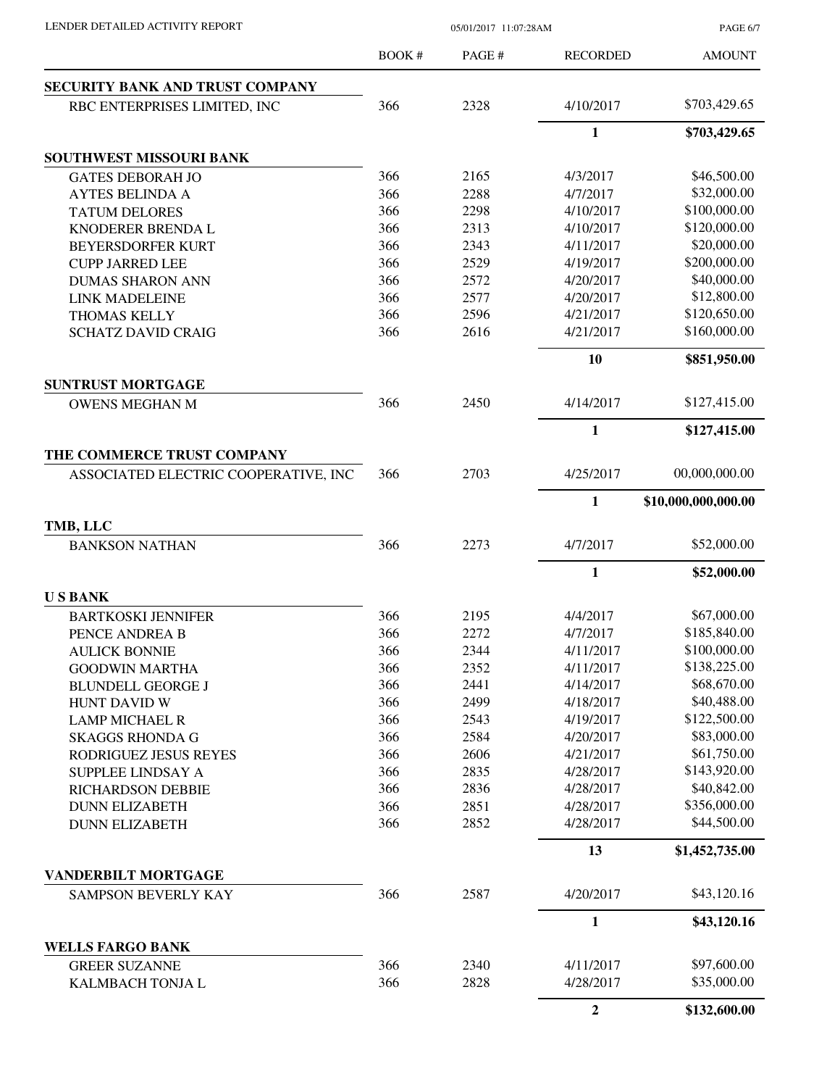PAGE 6/7

|                                                   | <b>BOOK#</b> | PAGE # | <b>RECORDED</b>  | <b>AMOUNT</b>               |
|---------------------------------------------------|--------------|--------|------------------|-----------------------------|
| <b>SECURITY BANK AND TRUST COMPANY</b>            |              |        |                  |                             |
| RBC ENTERPRISES LIMITED, INC                      | 366          | 2328   | 4/10/2017        | \$703,429.65                |
|                                                   |              |        | 1                | \$703,429.65                |
| SOUTHWEST MISSOURI BANK                           |              |        |                  |                             |
| <b>GATES DEBORAH JO</b>                           | 366          | 2165   | 4/3/2017         | \$46,500.00                 |
| <b>AYTES BELINDA A</b>                            | 366          | 2288   | 4/7/2017         | \$32,000.00                 |
| <b>TATUM DELORES</b>                              | 366          | 2298   | 4/10/2017        | \$100,000.00                |
| KNODERER BRENDA L                                 | 366          | 2313   | 4/10/2017        | \$120,000.00                |
| BEYERSDORFER KURT                                 | 366          | 2343   | 4/11/2017        | \$20,000.00                 |
| <b>CUPP JARRED LEE</b>                            | 366          | 2529   | 4/19/2017        | \$200,000.00                |
| <b>DUMAS SHARON ANN</b>                           | 366          | 2572   | 4/20/2017        | \$40,000.00                 |
| <b>LINK MADELEINE</b>                             | 366          | 2577   | 4/20/2017        | \$12,800.00                 |
| <b>THOMAS KELLY</b>                               | 366          | 2596   | 4/21/2017        | \$120,650.00                |
| <b>SCHATZ DAVID CRAIG</b>                         | 366          | 2616   | 4/21/2017        | \$160,000.00                |
|                                                   |              |        | 10               | \$851,950.00                |
| <b>SUNTRUST MORTGAGE</b>                          |              |        |                  |                             |
| <b>OWENS MEGHAN M</b>                             | 366          | 2450   | 4/14/2017        | \$127,415.00                |
|                                                   |              |        | $\mathbf{1}$     | \$127,415.00                |
| THE COMMERCE TRUST COMPANY                        |              |        |                  |                             |
| ASSOCIATED ELECTRIC COOPERATIVE, INC              | 366          | 2703   | 4/25/2017        | 00,000,000.00               |
|                                                   |              |        | 1                | \$10,000,000,000.00         |
| TMB, LLC                                          |              |        |                  |                             |
| <b>BANKSON NATHAN</b>                             | 366          | 2273   | 4/7/2017         | \$52,000.00                 |
|                                                   |              |        | 1                | \$52,000.00                 |
| <b>USBANK</b>                                     |              |        |                  |                             |
| <b>BARTKOSKI JENNIFER</b>                         | 366          | 2195   | 4/4/2017         | \$67,000.00                 |
| PENCE ANDREA B                                    | 366          | 2272   | 4/7/2017         | \$185,840.00                |
| <b>AULICK BONNIE</b>                              | 366          | 2344   | 4/11/2017        | \$100,000.00                |
| <b>GOODWIN MARTHA</b>                             | 366          | 2352   | 4/11/2017        | \$138,225.00                |
| <b>BLUNDELL GEORGE J</b>                          | 366          | 2441   | 4/14/2017        | \$68,670.00                 |
| <b>HUNT DAVID W</b>                               | 366          | 2499   | 4/18/2017        | \$40,488.00                 |
| <b>LAMP MICHAEL R</b>                             | 366          | 2543   | 4/19/2017        | \$122,500.00                |
| <b>SKAGGS RHONDA G</b>                            | 366          | 2584   | 4/20/2017        | \$83,000.00<br>\$61,750.00  |
| RODRIGUEZ JESUS REYES                             | 366          | 2606   | 4/21/2017        | \$143,920.00                |
| SUPPLEE LINDSAY A                                 | 366          | 2835   | 4/28/2017        | \$40,842.00                 |
| <b>RICHARDSON DEBBIE</b>                          | 366          | 2836   | 4/28/2017        |                             |
| <b>DUNN ELIZABETH</b>                             | 366          | 2851   | 4/28/2017        | \$356,000.00<br>\$44,500.00 |
| <b>DUNN ELIZABETH</b>                             | 366          | 2852   | 4/28/2017        |                             |
|                                                   |              |        | 13               | \$1,452,735.00              |
| <b>VANDERBILT MORTGAGE</b><br>SAMPSON BEVERLY KAY | 366          | 2587   | 4/20/2017        | \$43,120.16                 |
|                                                   |              |        | 1                | \$43,120.16                 |
| <b>WELLS FARGO BANK</b>                           |              |        |                  |                             |
| <b>GREER SUZANNE</b>                              | 366          | 2340   | 4/11/2017        | \$97,600.00                 |
| KALMBACH TONJA L                                  | 366          | 2828   | 4/28/2017        | \$35,000.00                 |
|                                                   |              |        | $\boldsymbol{2}$ | \$132,600.00                |